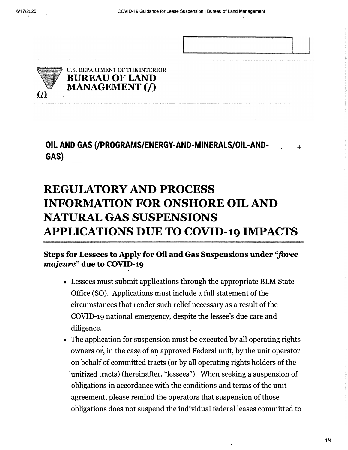

 $+$ 



**OIL AND GAS (/PROGRAMS/ENERGY-AND-MINERALS/OIL-AND-GAS)** 

## **REGULATORY AND PROCESS INFORMATION FOR ONSHORE OIL AND NATURAL GAS SUSPENSIONS APPLICATIONS DUE TO COVID-19 IMPACTS**

## **Steps for Lessees to Apply for Oil and Gas Suspensions under ''force majeure" due to COVID-19**

- Lessees must submit applications through the appropriate BLM State Office (SO). Applications must include a full statement of the circumstances that render such relief necessary as a result of the COVID-19 national emergency, despite the lessee's due care and diligence.
- The application for suspension must be executed by all operating rights owners or, in the case of an approved Federal unit, by the unit operator on behalf of committed tracts ( or by all operating rights holders of the unitized tracts) (hereinafter, "lessees"). When seeking a suspension of obligations in accordance with the conditions and terms of the unit agreement, please remind the operators that suspension of those obligations does not suspend the individual federal leases committed to

**1/4**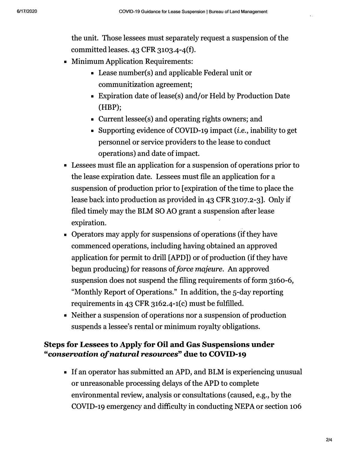the unit. Those lessees must separately request a suspension of the committed leases.  $43$  CFR  $3103.4 - 4(f)$ .

- Minimum Application Requirements:
	- Lease number(s) and applicable Federal unit or communitization agreement;
	- Expiration date of lease(s) and/or Held by Production Date (HBP);
	- Current lessee(s) and operating rights owners; and
	- Supporting evidence of COVID-19 impact *(i.e.,* inability to get personnel or service providers to the lease to conduct operations) and date of impact.
- Lessees must file an application for a suspension of operations prior to the lease expiration date. Lessees must file an application for a suspension of production prior to [ expiration of the time to place the lease back into production as provided in 43 CFR 3107.2-3]. Only if filed timely may the BLM SO AO grant a suspension after lease expiration.
- Operators may apply for suspensions of operations (if they have commenced operations, including having obtained an approved application for permit to drill [APD]) or of production (if they have begun producing) for reasons of *force majeure.* An approved suspension does not suspend the filing requirements of form 3160-6, "Monthly Report of Operations." In addition, the 5-day reporting requirements in 43 CFR 3162-4-1(c) must be fulfilled.
- Neither a suspension of operations nor a suspension of production suspends a lessee's rental or minimum royalty obligations.

## **Steps for Lessees to Apply for Oil and Gas Suspensions under**  *"conservation of natural resources"* **due to COVID-19**

■ If an operator has submitted an APD, and BLM is experiencing unusual or unreasonable processing delays of the APD to complete environmental review, analysis or consultations ( caused, e.g., by the COVID-19 emergency and difficulty in conducting NEPA or section 106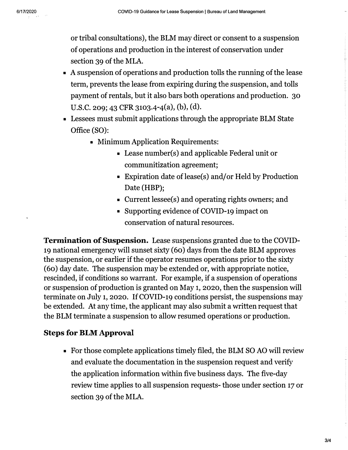or tribal consultations), the BLM may direct or consent to a suspension of operations and production in the interest of conservation under section 39 of the MLA.

- A suspension of operations and production tolls the running of the lease term, prevents the lease from expiring during the suspension, and tolls payment of rentals, but it also bars both operations and production. 30 U.S.C. 209; 43 CFR 3103.4-4(a), (b), (d).
- Lessees must submit applications through the appropriate BLM State Office (SO):
	- Minimum Application Requirements:
		- Lease number(s) and applicable Federal unit or communitization agreement;
		- Expiration date of lease(s) and/or Held by Production Date (HBP);
		- Current lessee(s) and operating rights owners; and
		- Supporting evidence of COVID-19 impact on conservation of natural resources.

Termination of Suspension. Lease suspensions granted due to the COVID-19 national emergency will sunset sixty (60) days from the date BLM approves the suspension, or earlier if the operator resumes operations prior to the sixty ( 60) day date. The suspension may be extended or, with appropriate notice, rescinded, if conditions so warrant. For example, if a suspension of operations or suspension of production is granted on May 1, 2020, then the suspension will terminate on July 1, 2020. If COVID-19 conditions persist, the suspensions may be extended. At any time, the applicant may also submit a written request that the BLM terminate a suspension to allow resumed operations or production.

## Steps for BLM Approval

■ For those complete applications timely filed, the BLM SO AO will review and evaluate the documentation in the suspension request and verify the application information within five business days. The five-day review time applies to all suspension requests- those under section 17 or section 39 of the MLA.